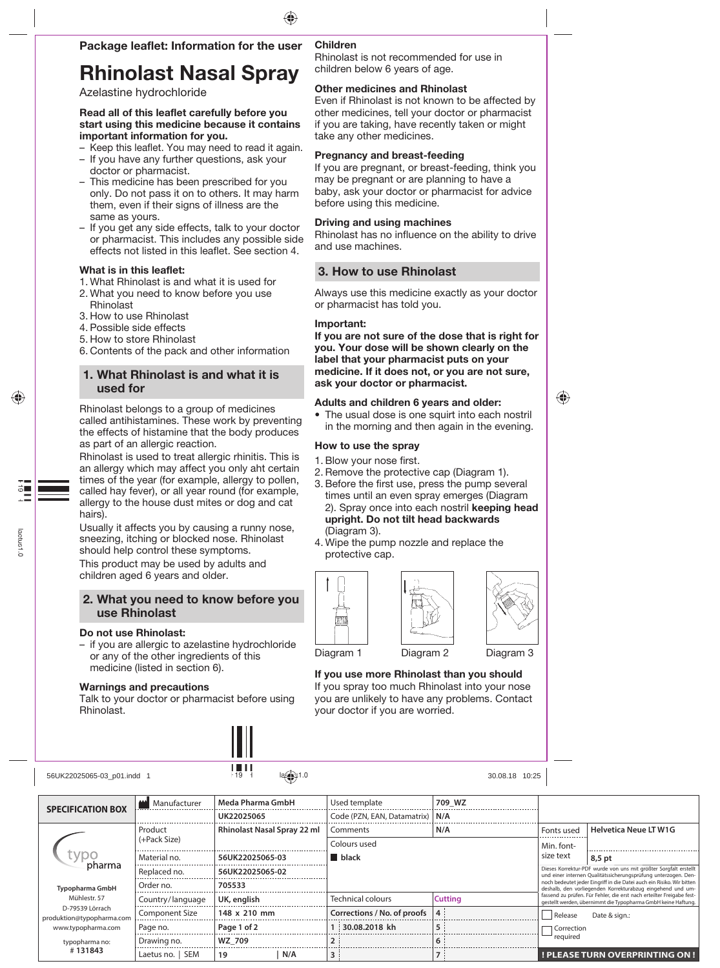## Package leaflet: Information for the user

# Rhinolast Nasal Spray

Azelastine hydrochloride

### Read all of this leaflet carefully before you start using this medicine because it contains important information for you.

- Keep this leaflet. You may need to read it again.
- If you have any further questions, ask your doctor or pharmacist.
- This medicine has been prescribed for you only. Do not pass it on to others. It may harm them, even if their signs of illness are the same as yours.
- If you get any side effects, talk to your doctor or pharmacist. This includes any possible side effects not listed in this leaflet. See section 4.

### What is in this leaflet:

- 1. What Rhinolast is and what it is used for
- 2. What you need to know before you use Rhinolast
- 3. How to use Rhinolast
- 4. Possible side effects
- 5. How to store Rhinolast
- 6. Contents of the pack and other information

## 1. What Rhinolast is and what it is used for

Rhinolast belongs to a group of medicines called antihistamines. These work by preventing the effects of histamine that the body produces as part of an allergic reaction.

Rhinolast is used to treat allergic rhinitis. This is an allergy which may affect you only aht certain times of the year (for example, allergy to pollen, called hay fever), or all year round (for example, allergy to the house dust mites or dog and cat hairs).

Usually it affects you by causing a runny nose, sneezing, itching or blocked nose. Rhinolast should help control these symptoms.

This product may be used by adults and children aged 6 years and older.

## 2. What you need to know before you use Rhinolast

### Do not use Rhinolast:

– if you are allergic to azelastine hydrochloride or any of the other ingredients of this medicine (listed in section 6).

### Warnings and precautions

Talk to your doctor or pharmacist before using Rhinolast.



Rhinolast is not recommended for use in children below 6 years of age.

### Other medicines and Rhinolast

Even if Rhinolast is not known to be affected by other medicines, tell your doctor or pharmacist if you are taking, have recently taken or might take any other medicines.

### Pregnancy and breast-feeding

If you are pregnant, or breast-feeding, think you may be pregnant or are planning to have a baby, ask your doctor or pharmacist for advice before using this medicine.

### Driving and using machines

Rhinolast has no influence on the ability to drive and use machines.

## 3. How to use Rhinolast

Always use this medicine exactly as your doctor or pharmacist has told you.

### Important:

If you are not sure of the dose that is right for you. Your dose will be shown clearly on the label that your pharmacist puts on your medicine. If it does not, or you are not sure, ask your doctor or pharmacist.

### Adults and children 6 years and older:

 • The usual dose is one squirt into each nostril in the morning and then again in the evening.

### How to use the spray

- 1. Blow your nose first.
- 2. Remove the protective cap (Diagram 1).
- 3. Before the first use, press the pump several times until an even spray emerges (Diagram 2). Spray once into each nostril keeping head upright. Do not tilt head backwards (Diagram 3).
- 4. Wipe the pump nozzle and replace the protective cap.







## Diagram 1 Diagram 2 Diagram 3

### If you use more Rhinolast than you should If you spray too much Rhinolast into your nose you are unlikely to have any problems. Contact

your doctor if you are worried.